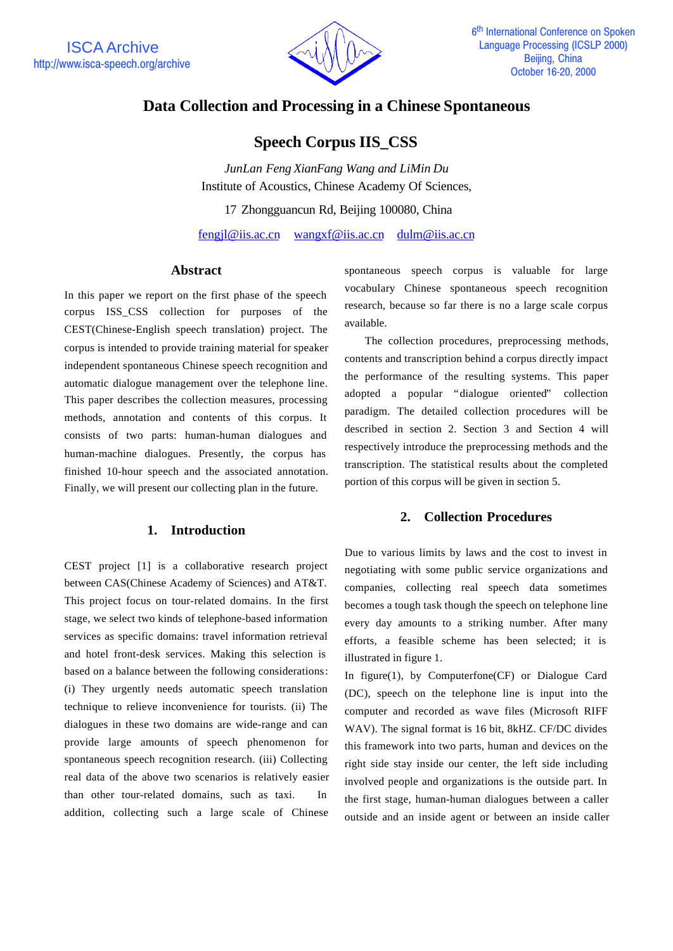

# **Data Collection and Processing in a Chinese Spontaneous**

**Speech Corpus IIS\_CSS**

*JunLan Feng XianFang Wang and LiMin Du* Institute of Acoustics, Chinese Academy Of Sciences,

17 Zhongguancun Rd, Beijing 100080, China

fengjl@iis.ac.cn wangxf@iis.ac.cn dulm@iis.ac.cn

# **Abstract**

In this paper we report on the first phase of the speech corpus ISS\_CSS collection for purposes of the CEST(Chinese-English speech translation) project. The corpus is intended to provide training material for speaker independent spontaneous Chinese speech recognition and automatic dialogue management over the telephone line. This paper describes the collection measures, processing methods, annotation and contents of this corpus. It consists of two parts: human-human dialogues and human-machine dialogues. Presently, the corpus has finished 10-hour speech and the associated annotation. Finally, we will present our collecting plan in the future.

# **1. Introduction**

CEST project [1] is a collaborative research project between CAS(Chinese Academy of Sciences) and AT&T. This project focus on tour-related domains. In the first stage, we select two kinds of telephone-based information services as specific domains: travel information retrieval and hotel front-desk services. Making this selection is based on a balance between the following considerations: (i) They urgently needs automatic speech translation technique to relieve inconvenience for tourists. (ii) The dialogues in these two domains are wide-range and can provide large amounts of speech phenomenon for spontaneous speech recognition research. (iii) Collecting real data of the above two scenarios is relatively easier than other tour-related domains, such as taxi. In addition, collecting such a large scale of Chinese

spontaneous speech corpus is valuable for large vocabulary Chinese spontaneous speech recognition research, because so far there is no a large scale corpus available.

The collection procedures, preprocessing methods, contents and transcription behind a corpus directly impact the performance of the resulting systems. This paper adopted a popular "dialogue oriented" collection paradigm. The detailed collection procedures will be described in section 2. Section 3 and Section 4 will respectively introduce the preprocessing methods and the transcription. The statistical results about the completed portion of this corpus will be given in section 5.

# **2. Collection Procedures**

Due to various limits by laws and the cost to invest in negotiating with some public service organizations and companies, collecting real speech data sometimes becomes a tough task though the speech on telephone line every day amounts to a striking number. After many efforts, a feasible scheme has been selected; it is illustrated in figure 1.

In figure(1), by Computerfone(CF) or Dialogue Card (DC), speech on the telephone line is input into the computer and recorded as wave files (Microsoft RIFF WAV). The signal format is 16 bit, 8kHZ. CF/DC divides this framework into two parts, human and devices on the right side stay inside our center, the left side including involved people and organizations is the outside part. In the first stage, human-human dialogues between a caller outside and an inside agent or between an inside caller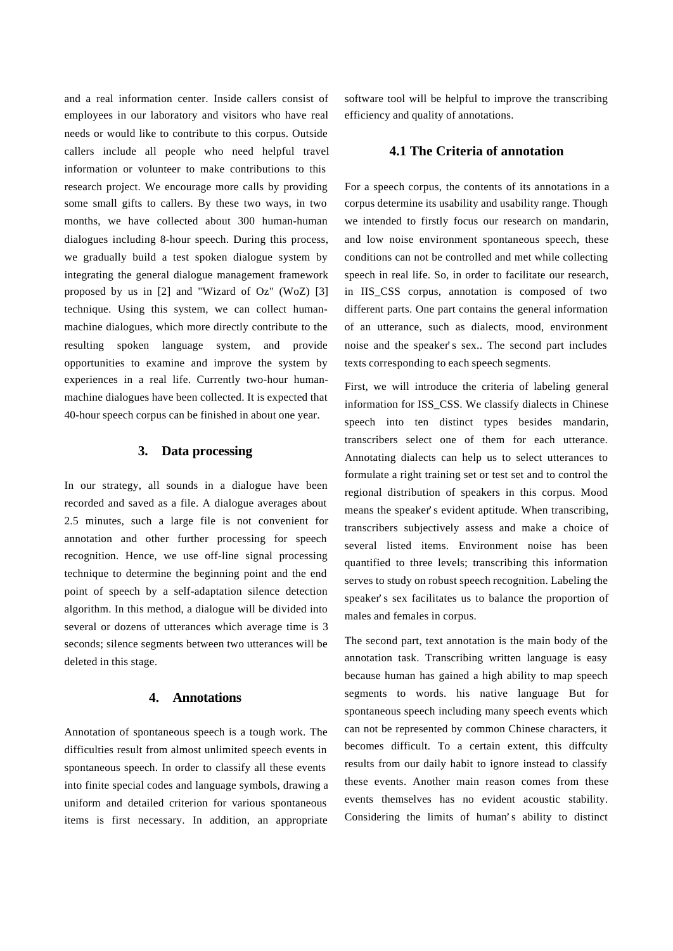and a real information center. Inside callers consist of employees in our laboratory and visitors who have real needs or would like to contribute to this corpus. Outside callers include all people who need helpful travel information or volunteer to make contributions to this research project. We encourage more calls by providing some small gifts to callers. By these two ways, in two months, we have collected about 300 human-human dialogues including 8-hour speech. During this process, we gradually build a test spoken dialogue system by integrating the general dialogue management framework proposed by us in [2] and "Wizard of Oz" (WoZ) [3] technique. Using this system, we can collect humanmachine dialogues, which more directly contribute to the resulting spoken language system, and provide opportunities to examine and improve the system by experiences in a real life. Currently two-hour humanmachine dialogues have been collected. It is expected that 40-hour speech corpus can be finished in about one year.

# **3. Data processing**

In our strategy, all sounds in a dialogue have been recorded and saved as a file. A dialogue averages about 2.5 minutes, such a large file is not convenient for annotation and other further processing for speech recognition. Hence, we use off-line signal processing technique to determine the beginning point and the end point of speech by a self-adaptation silence detection algorithm. In this method, a dialogue will be divided into several or dozens of utterances which average time is 3 seconds; silence segments between two utterances will be deleted in this stage.

### **4. Annotations**

Annotation of spontaneous speech is a tough work. The difficulties result from almost unlimited speech events in spontaneous speech. In order to classify all these events into finite special codes and language symbols, drawing a uniform and detailed criterion for various spontaneous items is first necessary. In addition, an appropriate

software tool will be helpful to improve the transcribing efficiency and quality of annotations.

#### **4.1 The Criteria of annotation**

For a speech corpus, the contents of its annotations in a corpus determine its usability and usability range. Though we intended to firstly focus our research on mandarin, and low noise environment spontaneous speech, these conditions can not be controlled and met while collecting speech in real life. So, in order to facilitate our research, in IIS\_CSS corpus, annotation is composed of two different parts. One part contains the general information of an utterance, such as dialects, mood, environment noise and the speaker's sex.. The second part includes texts corresponding to each speech segments.

First, we will introduce the criteria of labeling general information for ISS\_CSS. We classify dialects in Chinese speech into ten distinct types besides mandarin, transcribers select one of them for each utterance. Annotating dialects can help us to select utterances to formulate a right training set or test set and to control the regional distribution of speakers in this corpus. Mood means the speaker's evident aptitude. When transcribing, transcribers subjectively assess and make a choice of several listed items. Environment noise has been quantified to three levels; transcribing this information serves to study on robust speech recognition. Labeling the speaker's sex facilitates us to balance the proportion of males and females in corpus.

The second part, text annotation is the main body of the annotation task. Transcribing written language is easy because human has gained a high ability to map speech segments to words. his native language But for spontaneous speech including many speech events which can not be represented by common Chinese characters, it becomes difficult. To a certain extent, this diffculty results from our daily habit to ignore instead to classify these events. Another main reason comes from these events themselves has no evident acoustic stability. Considering the limits of human's ability to distinct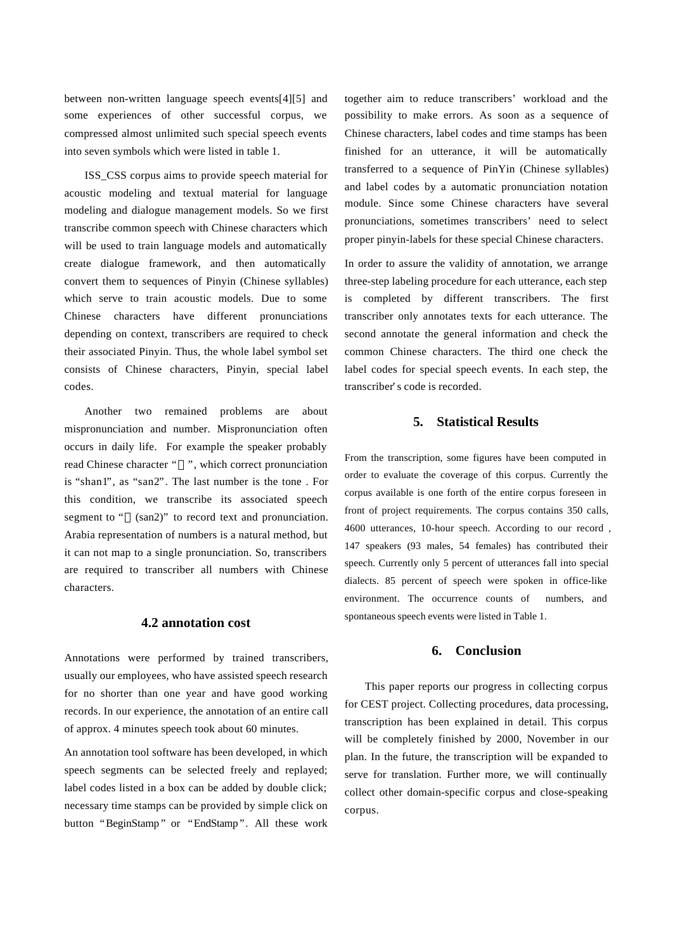between non-written language speech events[4][5] and some experiences of other successful corpus, we compressed almost unlimited such special speech events into seven symbols which were listed in table 1.

ISS\_CSS corpus aims to provide speech material for acoustic modeling and textual material for language modeling and dialogue management models. So we first transcribe common speech with Chinese characters which will be used to train language models and automatically create dialogue framework, and then automatically convert them to sequences of Pinyin (Chinese syllables) which serve to train acoustic models. Due to some Chinese characters have different pronunciations depending on context, transcribers are required to check their associated Pinyin. Thus, the whole label symbol set consists of Chinese characters, Pinyin, special label codes.

Another two remained problems are about mispronunciation and number. Mispronunciation often occurs in daily life. For example the speaker probably read Chinese character " ", which correct pronunciation is "shan1", as "san2". The last number is the tone . For this condition, we transcribe its associated speech segment to " (san2)" to record text and pronunciation. Arabia representation of numbers is a natural method, but it can not map to a single pronunciation. So, transcribers are required to transcriber all numbers with Chinese characters.

# **4.2 annotation cost**

Annotations were performed by trained transcribers, usually our employees, who have assisted speech research for no shorter than one year and have good working records. In our experience, the annotation of an entire call of approx. 4 minutes speech took about 60 minutes.

An annotation tool software has been developed, in which speech segments can be selected freely and replayed; label codes listed in a box can be added by double click; necessary time stamps can be provided by simple click on button "BeginStamp" or "EndStamp". All these work

together aim to reduce transcribers' workload and the possibility to make errors. As soon as a sequence of Chinese characters, label codes and time stamps has been finished for an utterance, it will be automatically transferred to a sequence of PinYin (Chinese syllables) and label codes by a automatic pronunciation notation module. Since some Chinese characters have several pronunciations, sometimes transcribers' need to select proper pinyin-labels for these special Chinese characters.

In order to assure the validity of annotation, we arrange three-step labeling procedure for each utterance, each step is completed by different transcribers. The first transcriber only annotates texts for each utterance. The second annotate the general information and check the common Chinese characters. The third one check the label codes for special speech events. In each step, the transcriber's code is recorded.

### **5. Statistical Results**

From the transcription, some figures have been computed in order to evaluate the coverage of this corpus. Currently the corpus available is one forth of the entire corpus foreseen in front of project requirements. The corpus contains 350 calls, 4600 utterances, 10-hour speech. According to our record , 147 speakers (93 males, 54 females) has contributed their speech. Currently only 5 percent of utterances fall into special dialects. 85 percent of speech were spoken in office-like environment. The occurrence counts of numbers, and spontaneous speech events were listed in Table 1.

## **6. Conclusion**

This paper reports our progress in collecting corpus for CEST project. Collecting procedures, data processing, transcription has been explained in detail. This corpus will be completely finished by 2000, November in our plan. In the future, the transcription will be expanded to serve for translation. Further more, we will continually collect other domain-specific corpus and close-speaking corpus.